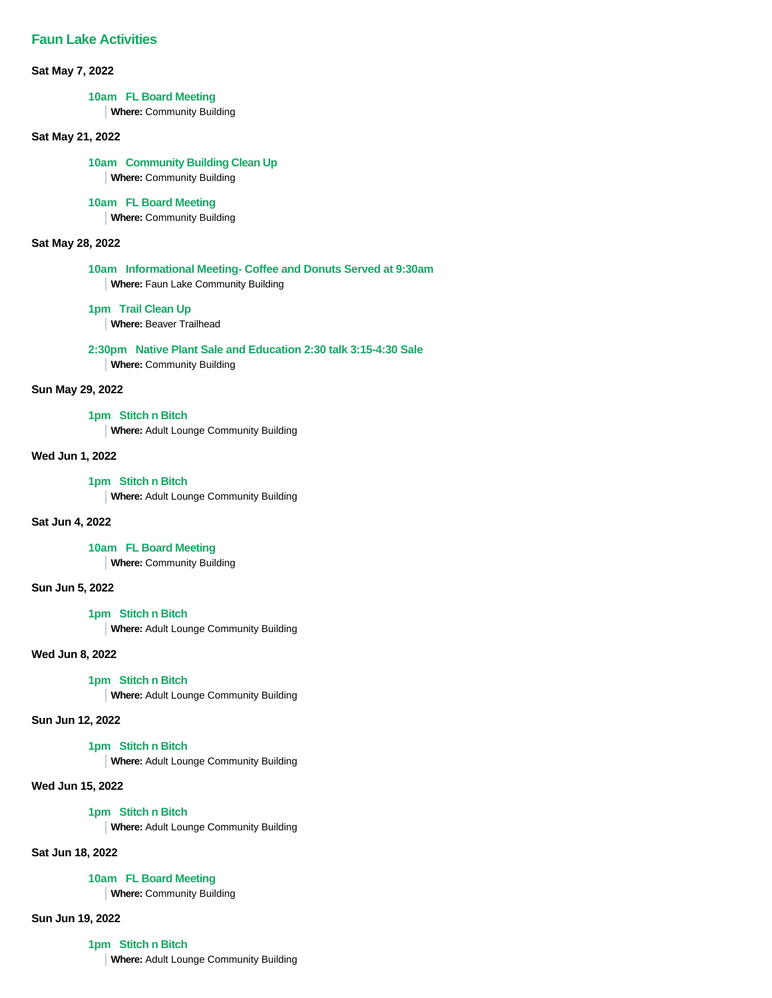**Sat May 7, 2022**

### **10am FL Board Meeting**

**Where:** Community Building

#### **Sat May 21, 2022**

**10am Community Building Clean Up**

# **Where:** Community Building

## **10am FL Board Meeting**

**Where:** Community Building

#### **Sat May 28, 2022**

**10am Informational Meeting- Coffee and Donuts Served at 9:30am Where:** Faun Lake Community Building

#### **1pm Trail Clean Up**

**Where:** Beaver Trailhead

**2:30pm Native Plant Sale and Education 2:30 talk 3:15-4:30 Sale Where:** Community Building

#### **Sun May 29, 2022**

**1pm Stitch n Bitch Where:** Adult Lounge Community Building

**Wed Jun 1, 2022**

**1pm Stitch n Bitch Where:** Adult Lounge Community Building

#### **Sat Jun 4, 2022**

**10am FL Board Meeting**

**Where:** Community Building

#### **Sun Jun 5, 2022**

#### **1pm Stitch n Bitch**

**Where:** Adult Lounge Community Building

## **Wed Jun 8, 2022**

## **1pm Stitch n Bitch**

**Where:** Adult Lounge Community Building

**Sun Jun 12, 2022**

#### **1pm Stitch n Bitch**

**Where:** Adult Lounge Community Building

#### **Wed Jun 15, 2022**

## **1pm Stitch n Bitch**

**Where:** Adult Lounge Community Building

## **Sat Jun 18, 2022**

## **10am FL Board Meeting**

**Where:** Community Building

## **Sun Jun 19, 2022**

**1pm Stitch n Bitch**

**Where:** Adult Lounge Community Building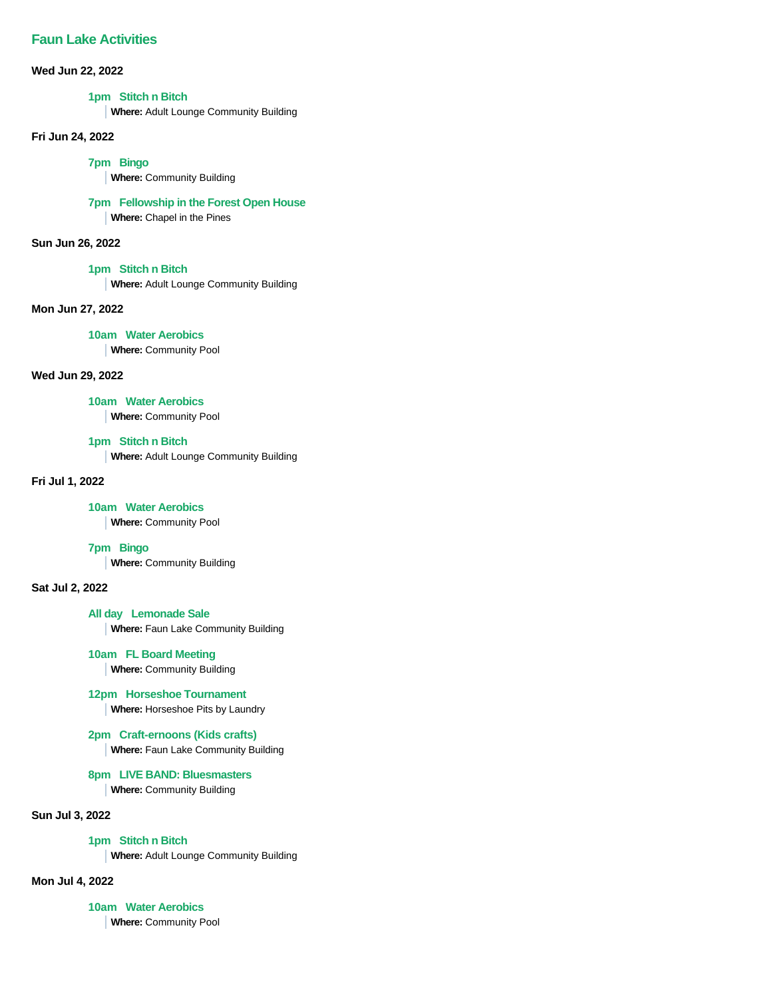**Wed Jun 22, 2022**

## **1pm Stitch n Bitch**

**Where:** Adult Lounge Community Building

**Fri Jun 24, 2022**

**7pm Bingo**

**Where:** Community Building

#### **7pm Fellowship in the Forest Open House**

**Where:** Chapel in the Pines

**Sun Jun 26, 2022**

### **1pm Stitch n Bitch**

**Where:** Adult Lounge Community Building

**Mon Jun 27, 2022**

**10am Water Aerobics**

**Where:** Community Pool

## **Wed Jun 29, 2022**

**10am Water Aerobics**

**Where:** Community Pool

### **1pm Stitch n Bitch**

**Where:** Adult Lounge Community Building

### **Fri Jul 1, 2022**

## **10am Water Aerobics**

**Where:** Community Pool

#### **7pm Bingo**

**Where:** Community Building

#### **Sat Jul 2, 2022**

**All day Lemonade Sale**

**Where:** Faun Lake Community Building

## **10am FL Board Meeting**

**Where:** Community Building

## **12pm Horseshoe Tournament**

**Where:** Horseshoe Pits by Laundry

## **2pm Craft-ernoons (Kids crafts)**

**Where:** Faun Lake Community Building

#### **8pm LIVE BAND: Bluesmasters**

**Where:** Community Building

## **Sun Jul 3, 2022**

**1pm Stitch n Bitch**

**Where:** Adult Lounge Community Building

## **Mon Jul 4, 2022**

**10am Water Aerobics Where:** Community Pool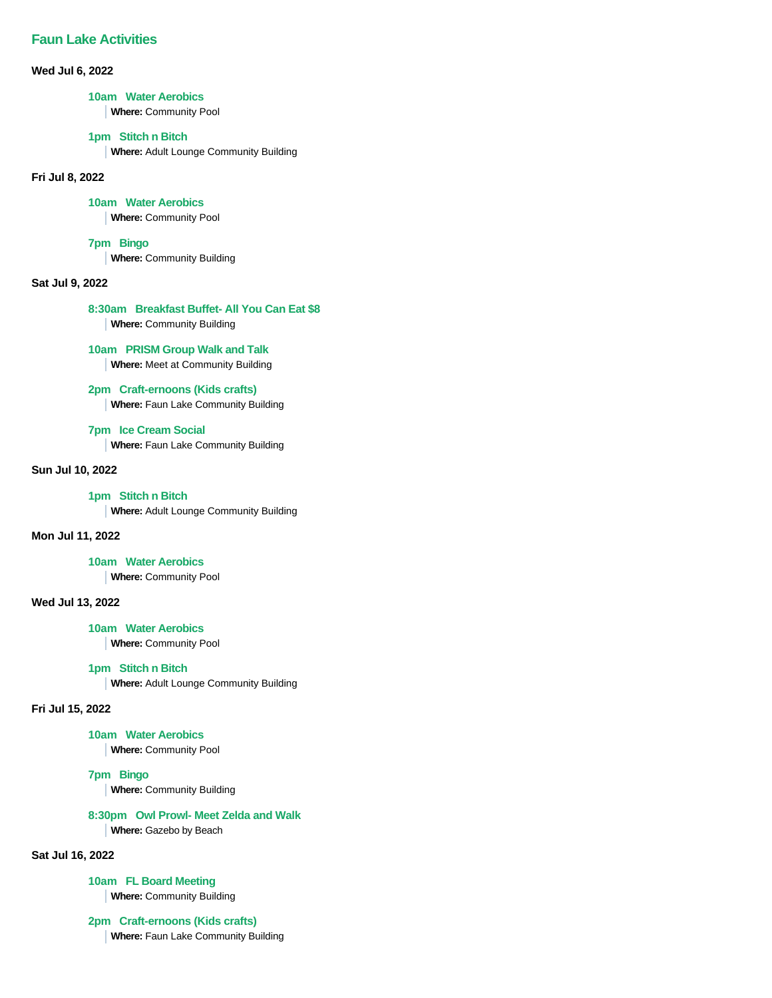**Wed Jul 6, 2022**

### **10am Water Aerobics**

**Where:** Community Pool

### **1pm Stitch n Bitch**

**Where:** Adult Lounge Community Building

#### **Fri Jul 8, 2022**

#### **10am Water Aerobics**

**Where:** Community Pool

### **7pm Bingo**

**Where:** Community Building

## **Sat Jul 9, 2022**

## **8:30am Breakfast Buffet- All You Can Eat \$8**

**Where:** Community Building

#### **10am PRISM Group Walk and Talk**

**Where:** Meet at Community Building

## **2pm Craft-ernoons (Kids crafts)**

**Where:** Faun Lake Community Building

## **7pm Ice Cream Social**

**Where:** Faun Lake Community Building

## **Sun Jul 10, 2022**

#### **1pm Stitch n Bitch**

**Where:** Adult Lounge Community Building

## **Mon Jul 11, 2022**

#### **10am Water Aerobics**

**Where:** Community Pool

## **Wed Jul 13, 2022**

**10am Water Aerobics**

**Where:** Community Pool

### **1pm Stitch n Bitch**

**Where:** Adult Lounge Community Building

## **Fri Jul 15, 2022**

#### **10am Water Aerobics**

**Where:** Community Pool

#### **7pm Bingo**

**Where:** Community Building

## **8:30pm Owl Prowl- Meet Zelda and Walk**

**Where:** Gazebo by Beach

## **Sat Jul 16, 2022**

#### **10am FL Board Meeting**

**Where:** Community Building

## **2pm Craft-ernoons (Kids crafts)**

**Where:** Faun Lake Community Building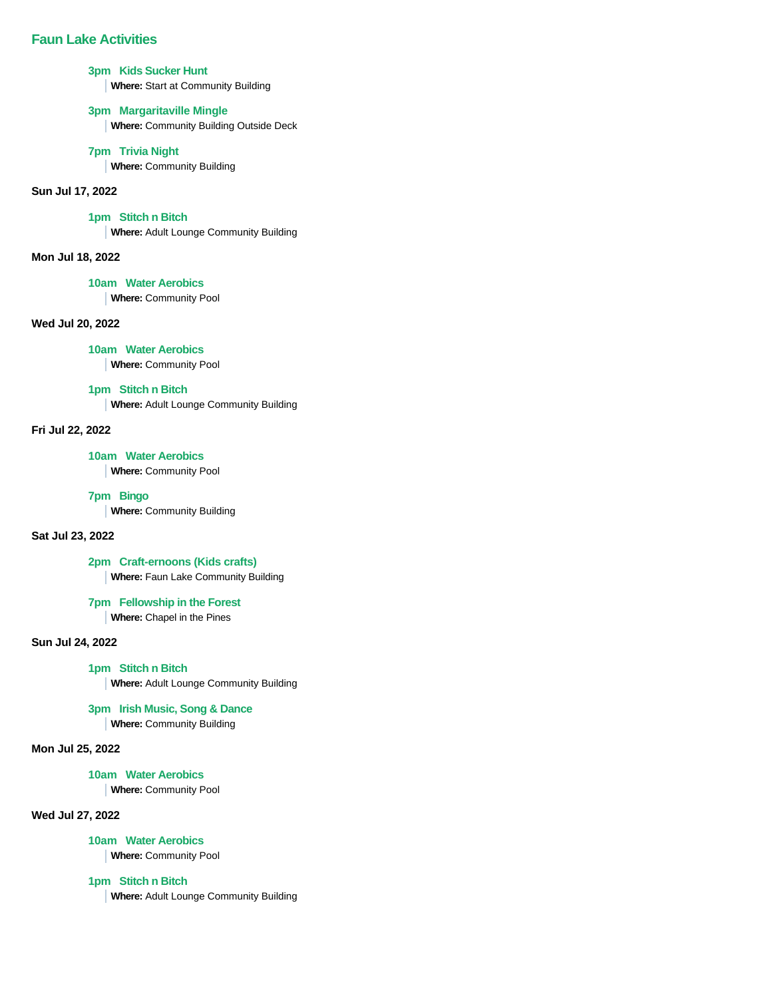### **3pm Kids Sucker Hunt**

**Where:** Start at Community Building

## **3pm Margaritaville Mingle**

**Where:** Community Building Outside Deck

### **7pm Trivia Night**

**Where:** Community Building

## **Sun Jul 17, 2022**

## **1pm Stitch n Bitch**

**Where:** Adult Lounge Community Building

#### **Mon Jul 18, 2022**

### **10am Water Aerobics**

**Where:** Community Pool

## **Wed Jul 20, 2022**

**10am Water Aerobics**

**Where:** Community Pool

## **1pm Stitch n Bitch**

**Where:** Adult Lounge Community Building

## **Fri Jul 22, 2022**

#### **10am Water Aerobics**

**Where:** Community Pool

### **7pm Bingo**

**Where:** Community Building

## **Sat Jul 23, 2022**

**2pm Craft-ernoons (Kids crafts)**

**Where:** Faun Lake Community Building

## **7pm Fellowship in the Forest**

**Where:** Chapel in the Pines

## **Sun Jul 24, 2022**

### **1pm Stitch n Bitch**

**Where:** Adult Lounge Community Building

## **3pm Irish Music, Song & Dance**

**Where:** Community Building

## **Mon Jul 25, 2022**

#### **10am Water Aerobics**

**Where:** Community Pool

#### **Wed Jul 27, 2022**

#### **10am Water Aerobics**

**Where:** Community Pool

## **1pm Stitch n Bitch**

**Where:** Adult Lounge Community Building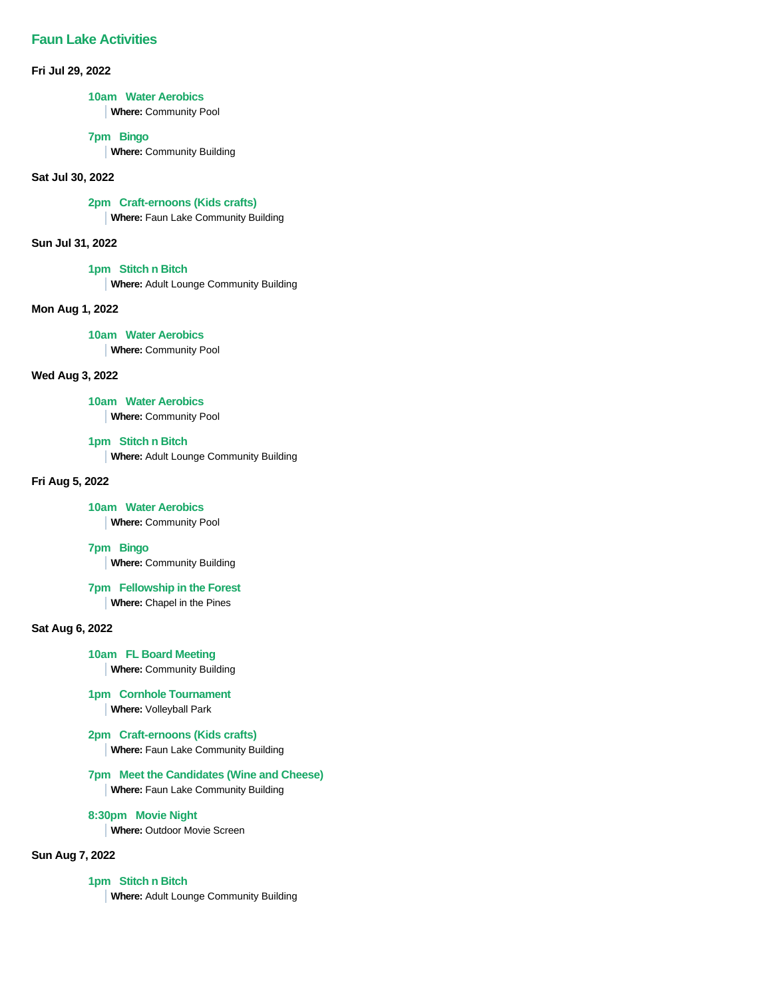**Fri Jul 29, 2022**

#### **10am Water Aerobics**

**Where:** Community Pool

### **7pm Bingo**

**Where:** Community Building

### **Sat Jul 30, 2022**

#### **2pm Craft-ernoons (Kids crafts)**

**Where:** Faun Lake Community Building

#### **Sun Jul 31, 2022**

### **1pm Stitch n Bitch**

**Where:** Adult Lounge Community Building

#### **Mon Aug 1, 2022**

**10am Water Aerobics Where:** Community Pool

### **Wed Aug 3, 2022**

### **10am Water Aerobics**

**Where:** Community Pool

### **1pm Stitch n Bitch**

**Where:** Adult Lounge Community Building

#### **Fri Aug 5, 2022**

## **10am Water Aerobics**

**Where:** Community Pool

#### **7pm Bingo**

**Where:** Community Building

### **7pm Fellowship in the Forest**

**Where:** Chapel in the Pines

#### **Sat Aug 6, 2022**

## **10am FL Board Meeting**

**Where:** Community Building

### **1pm Cornhole Tournament**

**Where:** Volleyball Park

### **2pm Craft-ernoons (Kids crafts)**

**Where:** Faun Lake Community Building

#### **7pm Meet the Candidates (Wine and Cheese)**

**Where:** Faun Lake Community Building

## **8:30pm Movie Night**

**Where:** Outdoor Movie Screen

## **Sun Aug 7, 2022**

### **1pm Stitch n Bitch**

**Where:** Adult Lounge Community Building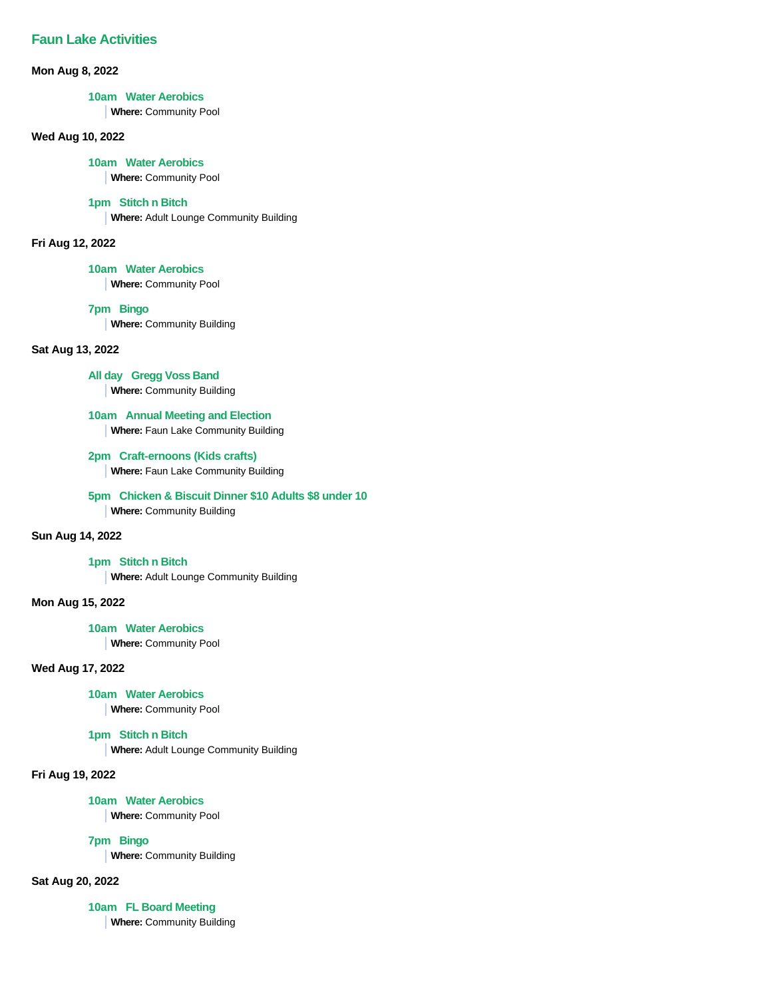#### **Mon Aug 8, 2022**

#### **10am Water Aerobics**

**Where:** Community Pool

## **Wed Aug 10, 2022**

#### **10am Water Aerobics**

**Where:** Community Pool

#### **1pm Stitch n Bitch**

**Where:** Adult Lounge Community Building

### **Fri Aug 12, 2022**

**10am Water Aerobics**

**Where:** Community Pool

## **7pm Bingo**

**Where:** Community Building

## **Sat Aug 13, 2022**

**All day Gregg Voss Band**

**Where:** Community Building

**10am Annual Meeting and Election Where:** Faun Lake Community Building

**2pm Craft-ernoons (Kids crafts) Where:** Faun Lake Community Building

**5pm Chicken & Biscuit Dinner \$10 Adults \$8 under 10**

**Where:** Community Building

## **Sun Aug 14, 2022**

**1pm Stitch n Bitch**

**Where:** Adult Lounge Community Building

**Mon Aug 15, 2022**

## **10am Water Aerobics**

**Where:** Community Pool

## **Wed Aug 17, 2022**

## **10am Water Aerobics**

**Where:** Community Pool

## **1pm Stitch n Bitch**

**Where:** Adult Lounge Community Building

## **Fri Aug 19, 2022**

## **10am Water Aerobics**

**Where:** Community Pool

**7pm Bingo**

**Where:** Community Building

## **Sat Aug 20, 2022**

**10am FL Board Meeting**

**Where:** Community Building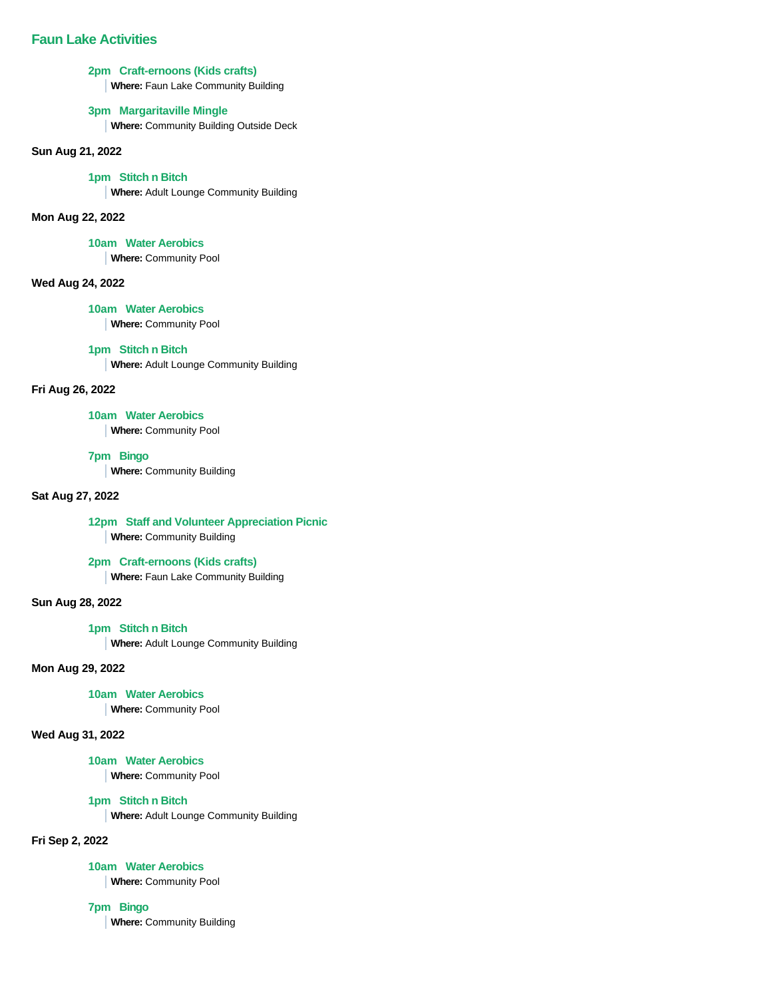## **2pm Craft-ernoons (Kids crafts)**

**Where:** Faun Lake Community Building

## **3pm Margaritaville Mingle**

**Where:** Community Building Outside Deck

## **Sun Aug 21, 2022**

#### **1pm Stitch n Bitch**

**Where:** Adult Lounge Community Building

#### **Mon Aug 22, 2022**

#### **10am Water Aerobics**

**Where:** Community Pool

## **Wed Aug 24, 2022**

#### **10am Water Aerobics**

**Where:** Community Pool

#### **1pm Stitch n Bitch**

**Where:** Adult Lounge Community Building

#### **Fri Aug 26, 2022**

#### **10am Water Aerobics**

**Where:** Community Pool

## **7pm Bingo**

**Where:** Community Building

### **Sat Aug 27, 2022**

## **12pm Staff and Volunteer Appreciation Picnic Where:** Community Building

**2pm Craft-ernoons (Kids crafts)**

**Where:** Faun Lake Community Building

### **Sun Aug 28, 2022**

#### **1pm Stitch n Bitch**

**Where:** Adult Lounge Community Building

### **Mon Aug 29, 2022**

#### **10am Water Aerobics**

**Where:** Community Pool

#### **Wed Aug 31, 2022**

#### **10am Water Aerobics**

**Where:** Community Pool

#### **1pm Stitch n Bitch**

**Where:** Adult Lounge Community Building

### **Fri Sep 2, 2022**

## **10am Water Aerobics**

**Where:** Community Pool

#### **7pm Bingo**

**Where:** Community Building